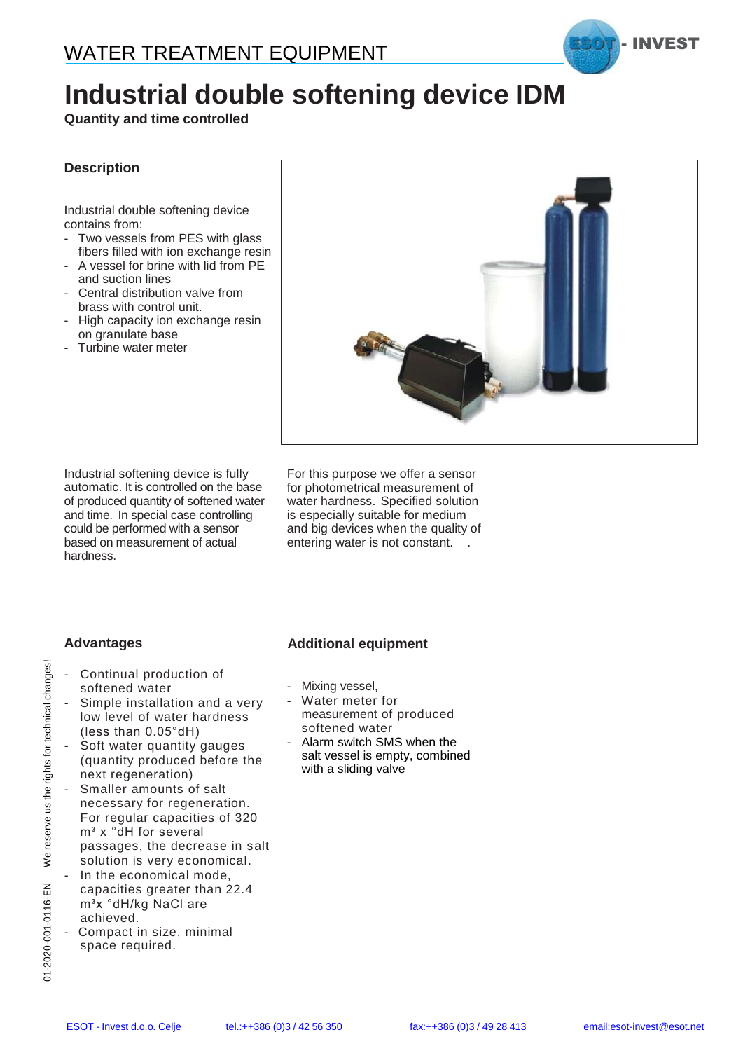

# **Industrial double softening device IDM**

**Quantity and time controlled**

### **Description**

Industrial double softening device contains from:

- Two vessels from PES with glass fibers filled with ion exchange resin
- A vessel for brine with lid from PE and suction lines
- Central distribution valve from brass with control unit.
- High capacity ion exchange resin on granulate base
- Turbine water meter



Industrial softening device is fully automatic. It is controlled on the base of produced quantity of softened water and time. In special case controlling could be performed with a sensor based on measurement of actual hardness.

For this purpose we offer a sensor for photometrical measurement of water hardness. Specified solution is especially suitable for medium and big devices when the quality of entering water is not constant. .

### **Advantages**

- Continual production of softened water
- Simple installation and a very low level of water hardness (less than 0.05°dH)
- Soft water quantity gauges (quantity produced before the next regeneration)
- Smaller amounts of salt necessary for regeneration. For regular capacities of 320 m<sup>3</sup> x °dH for several passages, the decrease in salt solution is very economical.
- In the economical mode, capacities greater than 22.4 m<sup>3</sup>x °dH/kg NaCl are achieved.
- Compact in size, minimal space required.

### **Additional equipment**

- Mixing vessel,
- Water meter for measurement of produced softened water
- Alarm switch SMS when the salt vessel is empty, combined with a sliding valve